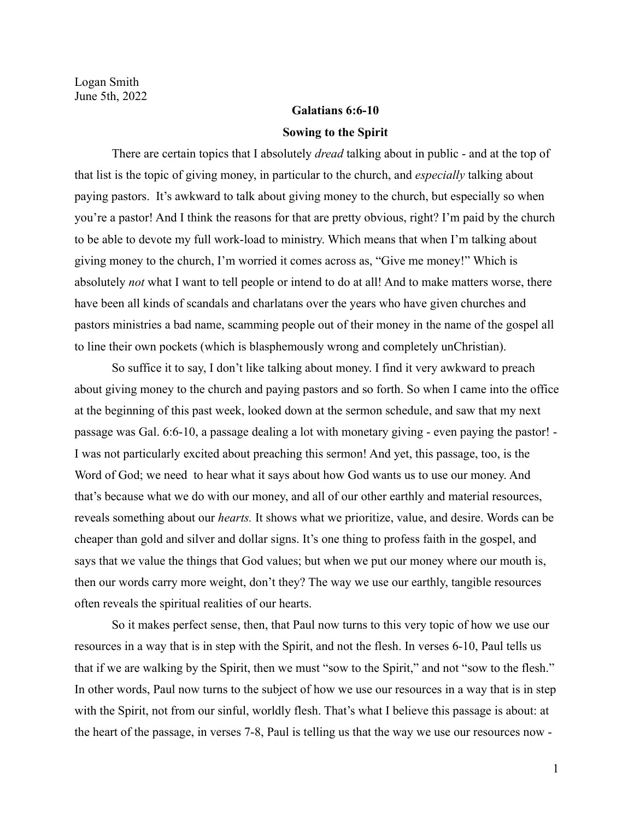## **Galatians 6:6-10 Sowing to the Spirit**

There are certain topics that I absolutely *dread* talking about in public - and at the top of that list is the topic of giving money, in particular to the church, and *especially* talking about paying pastors. It's awkward to talk about giving money to the church, but especially so when you're a pastor! And I think the reasons for that are pretty obvious, right? I'm paid by the church to be able to devote my full work-load to ministry. Which means that when I'm talking about giving money to the church, I'm worried it comes across as, "Give me money!" Which is absolutely *not* what I want to tell people or intend to do at all! And to make matters worse, there have been all kinds of scandals and charlatans over the years who have given churches and pastors ministries a bad name, scamming people out of their money in the name of the gospel all to line their own pockets (which is blasphemously wrong and completely unChristian).

So suffice it to say, I don't like talking about money. I find it very awkward to preach about giving money to the church and paying pastors and so forth. So when I came into the office at the beginning of this past week, looked down at the sermon schedule, and saw that my next passage was Gal. 6:6-10, a passage dealing a lot with monetary giving - even paying the pastor! - I was not particularly excited about preaching this sermon! And yet, this passage, too, is the Word of God; we need to hear what it says about how God wants us to use our money. And that's because what we do with our money, and all of our other earthly and material resources, reveals something about our *hearts.* It shows what we prioritize, value, and desire. Words can be cheaper than gold and silver and dollar signs. It's one thing to profess faith in the gospel, and says that we value the things that God values; but when we put our money where our mouth is, then our words carry more weight, don't they? The way we use our earthly, tangible resources often reveals the spiritual realities of our hearts.

So it makes perfect sense, then, that Paul now turns to this very topic of how we use our resources in a way that is in step with the Spirit, and not the flesh. In verses 6-10, Paul tells us that if we are walking by the Spirit, then we must "sow to the Spirit," and not "sow to the flesh." In other words, Paul now turns to the subject of how we use our resources in a way that is in step with the Spirit, not from our sinful, worldly flesh. That's what I believe this passage is about: at the heart of the passage, in verses 7-8, Paul is telling us that the way we use our resources now -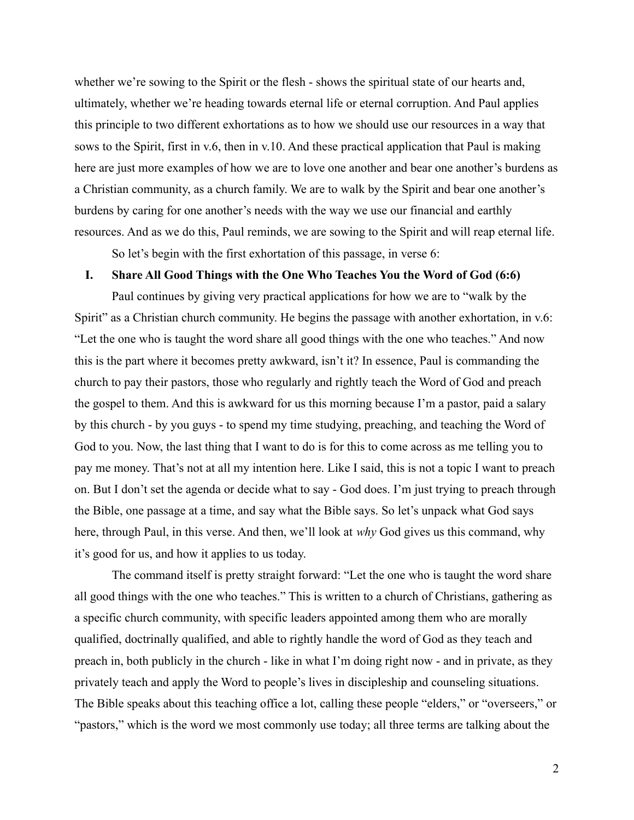whether we're sowing to the Spirit or the flesh - shows the spiritual state of our hearts and, ultimately, whether we're heading towards eternal life or eternal corruption. And Paul applies this principle to two different exhortations as to how we should use our resources in a way that sows to the Spirit, first in v.6, then in v.10. And these practical application that Paul is making here are just more examples of how we are to love one another and bear one another's burdens as a Christian community, as a church family. We are to walk by the Spirit and bear one another's burdens by caring for one another's needs with the way we use our financial and earthly resources. And as we do this, Paul reminds, we are sowing to the Spirit and will reap eternal life.

So let's begin with the first exhortation of this passage, in verse 6:

## **I. Share All Good Things with the One Who Teaches You the Word of God (6:6)**

Paul continues by giving very practical applications for how we are to "walk by the Spirit" as a Christian church community. He begins the passage with another exhortation, in v.6: "Let the one who is taught the word share all good things with the one who teaches." And now this is the part where it becomes pretty awkward, isn't it? In essence, Paul is commanding the church to pay their pastors, those who regularly and rightly teach the Word of God and preach the gospel to them. And this is awkward for us this morning because I'm a pastor, paid a salary by this church - by you guys - to spend my time studying, preaching, and teaching the Word of God to you. Now, the last thing that I want to do is for this to come across as me telling you to pay me money. That's not at all my intention here. Like I said, this is not a topic I want to preach on. But I don't set the agenda or decide what to say - God does. I'm just trying to preach through the Bible, one passage at a time, and say what the Bible says. So let's unpack what God says here, through Paul, in this verse. And then, we'll look at *why* God gives us this command, why it's good for us, and how it applies to us today.

The command itself is pretty straight forward: "Let the one who is taught the word share all good things with the one who teaches." This is written to a church of Christians, gathering as a specific church community, with specific leaders appointed among them who are morally qualified, doctrinally qualified, and able to rightly handle the word of God as they teach and preach in, both publicly in the church - like in what I'm doing right now - and in private, as they privately teach and apply the Word to people's lives in discipleship and counseling situations. The Bible speaks about this teaching office a lot, calling these people "elders," or "overseers," or "pastors," which is the word we most commonly use today; all three terms are talking about the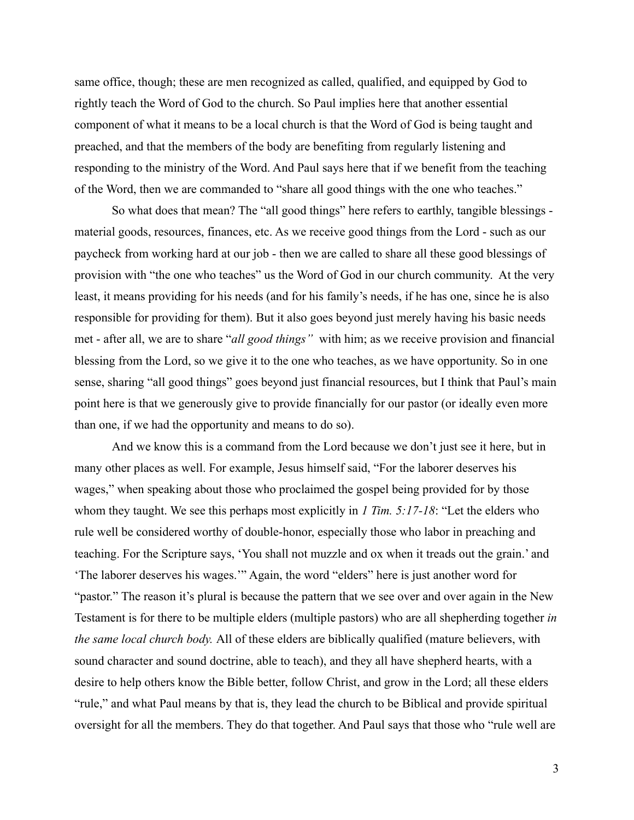same office, though; these are men recognized as called, qualified, and equipped by God to rightly teach the Word of God to the church. So Paul implies here that another essential component of what it means to be a local church is that the Word of God is being taught and preached, and that the members of the body are benefiting from regularly listening and responding to the ministry of the Word. And Paul says here that if we benefit from the teaching of the Word, then we are commanded to "share all good things with the one who teaches."

So what does that mean? The "all good things" here refers to earthly, tangible blessings material goods, resources, finances, etc. As we receive good things from the Lord - such as our paycheck from working hard at our job - then we are called to share all these good blessings of provision with "the one who teaches" us the Word of God in our church community. At the very least, it means providing for his needs (and for his family's needs, if he has one, since he is also responsible for providing for them). But it also goes beyond just merely having his basic needs met - after all, we are to share "*all good things"* with him; as we receive provision and financial blessing from the Lord, so we give it to the one who teaches, as we have opportunity. So in one sense, sharing "all good things" goes beyond just financial resources, but I think that Paul's main point here is that we generously give to provide financially for our pastor (or ideally even more than one, if we had the opportunity and means to do so).

And we know this is a command from the Lord because we don't just see it here, but in many other places as well. For example, Jesus himself said, "For the laborer deserves his wages," when speaking about those who proclaimed the gospel being provided for by those whom they taught. We see this perhaps most explicitly in *1 Tim. 5:17-18*: "Let the elders who rule well be considered worthy of double-honor, especially those who labor in preaching and teaching. For the Scripture says, 'You shall not muzzle and ox when it treads out the grain.' and 'The laborer deserves his wages.'" Again, the word "elders" here is just another word for "pastor." The reason it's plural is because the pattern that we see over and over again in the New Testament is for there to be multiple elders (multiple pastors) who are all shepherding together *in the same local church body.* All of these elders are biblically qualified (mature believers, with sound character and sound doctrine, able to teach), and they all have shepherd hearts, with a desire to help others know the Bible better, follow Christ, and grow in the Lord; all these elders "rule," and what Paul means by that is, they lead the church to be Biblical and provide spiritual oversight for all the members. They do that together. And Paul says that those who "rule well are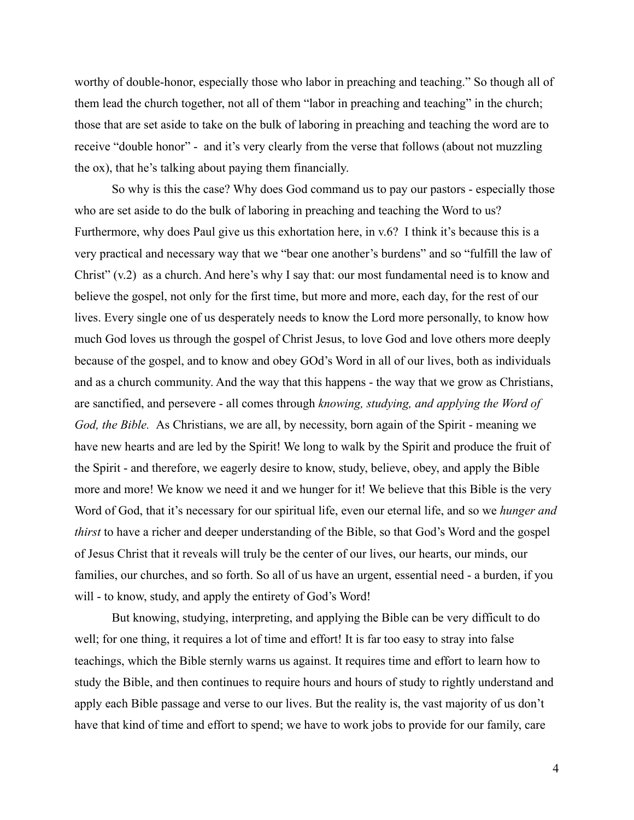worthy of double-honor, especially those who labor in preaching and teaching." So though all of them lead the church together, not all of them "labor in preaching and teaching" in the church; those that are set aside to take on the bulk of laboring in preaching and teaching the word are to receive "double honor" - and it's very clearly from the verse that follows (about not muzzling the ox), that he's talking about paying them financially.

So why is this the case? Why does God command us to pay our pastors - especially those who are set aside to do the bulk of laboring in preaching and teaching the Word to us? Furthermore, why does Paul give us this exhortation here, in v.6? I think it's because this is a very practical and necessary way that we "bear one another's burdens" and so "fulfill the law of Christ" (v.2) as a church. And here's why I say that: our most fundamental need is to know and believe the gospel, not only for the first time, but more and more, each day, for the rest of our lives. Every single one of us desperately needs to know the Lord more personally, to know how much God loves us through the gospel of Christ Jesus, to love God and love others more deeply because of the gospel, and to know and obey GOd's Word in all of our lives, both as individuals and as a church community. And the way that this happens - the way that we grow as Christians, are sanctified, and persevere - all comes through *knowing, studying, and applying the Word of God, the Bible.* As Christians, we are all, by necessity, born again of the Spirit - meaning we have new hearts and are led by the Spirit! We long to walk by the Spirit and produce the fruit of the Spirit - and therefore, we eagerly desire to know, study, believe, obey, and apply the Bible more and more! We know we need it and we hunger for it! We believe that this Bible is the very Word of God, that it's necessary for our spiritual life, even our eternal life, and so we *hunger and thirst* to have a richer and deeper understanding of the Bible, so that God's Word and the gospel of Jesus Christ that it reveals will truly be the center of our lives, our hearts, our minds, our families, our churches, and so forth. So all of us have an urgent, essential need - a burden, if you will - to know, study, and apply the entirety of God's Word!

But knowing, studying, interpreting, and applying the Bible can be very difficult to do well; for one thing, it requires a lot of time and effort! It is far too easy to stray into false teachings, which the Bible sternly warns us against. It requires time and effort to learn how to study the Bible, and then continues to require hours and hours of study to rightly understand and apply each Bible passage and verse to our lives. But the reality is, the vast majority of us don't have that kind of time and effort to spend; we have to work jobs to provide for our family, care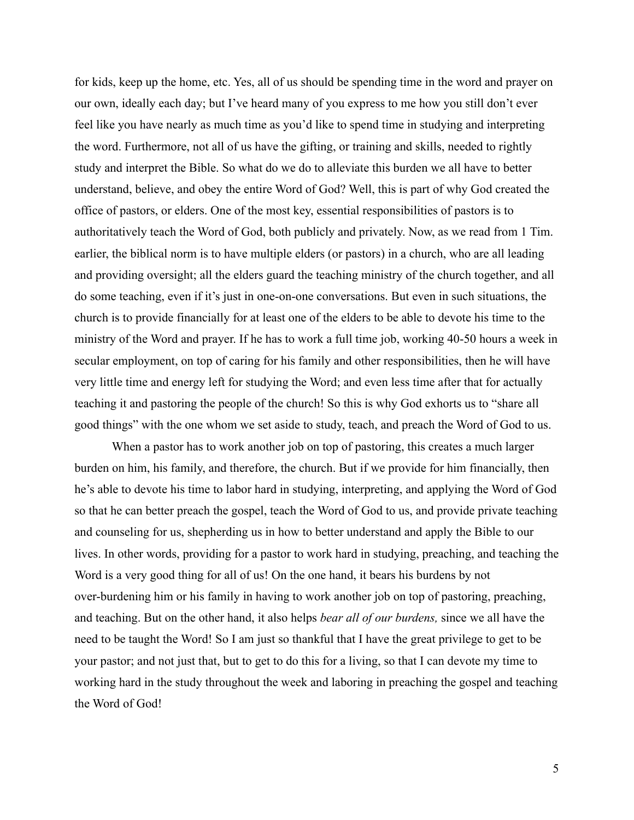for kids, keep up the home, etc. Yes, all of us should be spending time in the word and prayer on our own, ideally each day; but I've heard many of you express to me how you still don't ever feel like you have nearly as much time as you'd like to spend time in studying and interpreting the word. Furthermore, not all of us have the gifting, or training and skills, needed to rightly study and interpret the Bible. So what do we do to alleviate this burden we all have to better understand, believe, and obey the entire Word of God? Well, this is part of why God created the office of pastors, or elders. One of the most key, essential responsibilities of pastors is to authoritatively teach the Word of God, both publicly and privately. Now, as we read from 1 Tim. earlier, the biblical norm is to have multiple elders (or pastors) in a church, who are all leading and providing oversight; all the elders guard the teaching ministry of the church together, and all do some teaching, even if it's just in one-on-one conversations. But even in such situations, the church is to provide financially for at least one of the elders to be able to devote his time to the ministry of the Word and prayer. If he has to work a full time job, working 40-50 hours a week in secular employment, on top of caring for his family and other responsibilities, then he will have very little time and energy left for studying the Word; and even less time after that for actually teaching it and pastoring the people of the church! So this is why God exhorts us to "share all good things" with the one whom we set aside to study, teach, and preach the Word of God to us.

When a pastor has to work another job on top of pastoring, this creates a much larger burden on him, his family, and therefore, the church. But if we provide for him financially, then he's able to devote his time to labor hard in studying, interpreting, and applying the Word of God so that he can better preach the gospel, teach the Word of God to us, and provide private teaching and counseling for us, shepherding us in how to better understand and apply the Bible to our lives. In other words, providing for a pastor to work hard in studying, preaching, and teaching the Word is a very good thing for all of us! On the one hand, it bears his burdens by not over-burdening him or his family in having to work another job on top of pastoring, preaching, and teaching. But on the other hand, it also helps *bear all of our burdens,* since we all have the need to be taught the Word! So I am just so thankful that I have the great privilege to get to be your pastor; and not just that, but to get to do this for a living, so that I can devote my time to working hard in the study throughout the week and laboring in preaching the gospel and teaching the Word of God!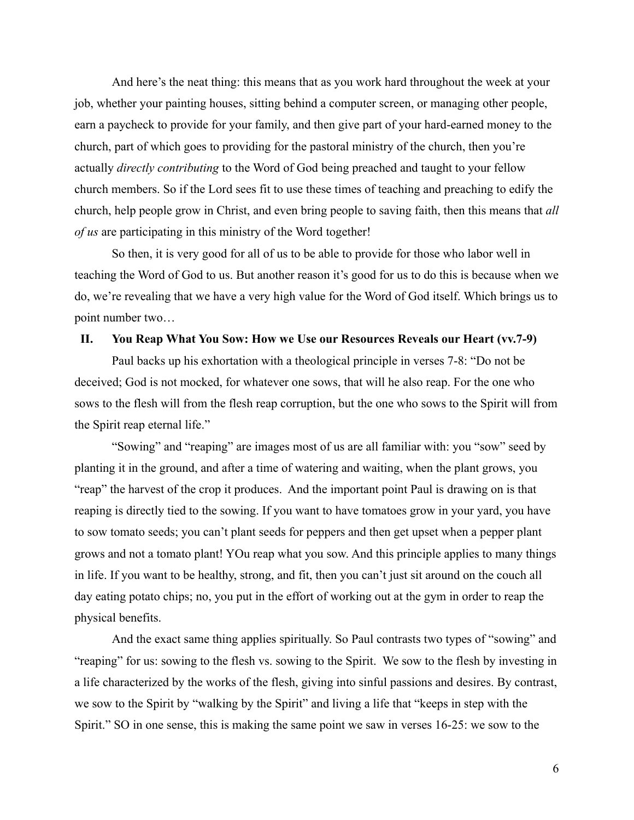And here's the neat thing: this means that as you work hard throughout the week at your job, whether your painting houses, sitting behind a computer screen, or managing other people, earn a paycheck to provide for your family, and then give part of your hard-earned money to the church, part of which goes to providing for the pastoral ministry of the church, then you're actually *directly contributing* to the Word of God being preached and taught to your fellow church members. So if the Lord sees fit to use these times of teaching and preaching to edify the church, help people grow in Christ, and even bring people to saving faith, then this means that *all of us* are participating in this ministry of the Word together!

So then, it is very good for all of us to be able to provide for those who labor well in teaching the Word of God to us. But another reason it's good for us to do this is because when we do, we're revealing that we have a very high value for the Word of God itself. Which brings us to point number two…

## **II. You Reap What You Sow: How we Use our Resources Reveals our Heart (vv.7-9)**

Paul backs up his exhortation with a theological principle in verses 7-8: "Do not be deceived; God is not mocked, for whatever one sows, that will he also reap. For the one who sows to the flesh will from the flesh reap corruption, but the one who sows to the Spirit will from the Spirit reap eternal life."

"Sowing" and "reaping" are images most of us are all familiar with: you "sow" seed by planting it in the ground, and after a time of watering and waiting, when the plant grows, you "reap" the harvest of the crop it produces. And the important point Paul is drawing on is that reaping is directly tied to the sowing. If you want to have tomatoes grow in your yard, you have to sow tomato seeds; you can't plant seeds for peppers and then get upset when a pepper plant grows and not a tomato plant! YOu reap what you sow. And this principle applies to many things in life. If you want to be healthy, strong, and fit, then you can't just sit around on the couch all day eating potato chips; no, you put in the effort of working out at the gym in order to reap the physical benefits.

And the exact same thing applies spiritually. So Paul contrasts two types of "sowing" and "reaping" for us: sowing to the flesh vs. sowing to the Spirit. We sow to the flesh by investing in a life characterized by the works of the flesh, giving into sinful passions and desires. By contrast, we sow to the Spirit by "walking by the Spirit" and living a life that "keeps in step with the Spirit." SO in one sense, this is making the same point we saw in verses 16-25: we sow to the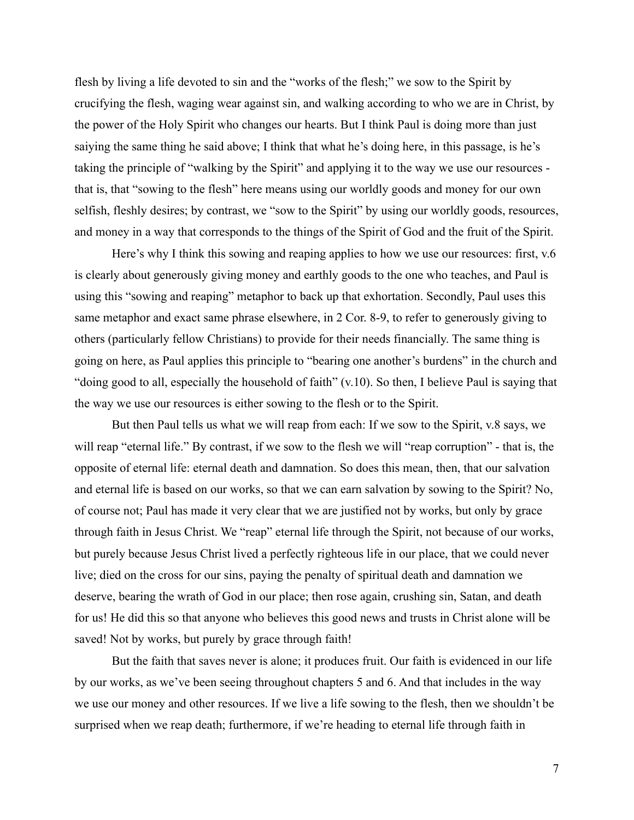flesh by living a life devoted to sin and the "works of the flesh;" we sow to the Spirit by crucifying the flesh, waging wear against sin, and walking according to who we are in Christ, by the power of the Holy Spirit who changes our hearts. But I think Paul is doing more than just saiying the same thing he said above; I think that what he's doing here, in this passage, is he's taking the principle of "walking by the Spirit" and applying it to the way we use our resources that is, that "sowing to the flesh" here means using our worldly goods and money for our own selfish, fleshly desires; by contrast, we "sow to the Spirit" by using our worldly goods, resources, and money in a way that corresponds to the things of the Spirit of God and the fruit of the Spirit.

Here's why I think this sowing and reaping applies to how we use our resources: first, v.6 is clearly about generously giving money and earthly goods to the one who teaches, and Paul is using this "sowing and reaping" metaphor to back up that exhortation. Secondly, Paul uses this same metaphor and exact same phrase elsewhere, in 2 Cor. 8-9, to refer to generously giving to others (particularly fellow Christians) to provide for their needs financially. The same thing is going on here, as Paul applies this principle to "bearing one another's burdens" in the church and "doing good to all, especially the household of faith" (v.10). So then, I believe Paul is saying that the way we use our resources is either sowing to the flesh or to the Spirit.

But then Paul tells us what we will reap from each: If we sow to the Spirit, v.8 says, we will reap "eternal life." By contrast, if we sow to the flesh we will "reap corruption" - that is, the opposite of eternal life: eternal death and damnation. So does this mean, then, that our salvation and eternal life is based on our works, so that we can earn salvation by sowing to the Spirit? No, of course not; Paul has made it very clear that we are justified not by works, but only by grace through faith in Jesus Christ. We "reap" eternal life through the Spirit, not because of our works, but purely because Jesus Christ lived a perfectly righteous life in our place, that we could never live; died on the cross for our sins, paying the penalty of spiritual death and damnation we deserve, bearing the wrath of God in our place; then rose again, crushing sin, Satan, and death for us! He did this so that anyone who believes this good news and trusts in Christ alone will be saved! Not by works, but purely by grace through faith!

But the faith that saves never is alone; it produces fruit. Our faith is evidenced in our life by our works, as we've been seeing throughout chapters 5 and 6. And that includes in the way we use our money and other resources. If we live a life sowing to the flesh, then we shouldn't be surprised when we reap death; furthermore, if we're heading to eternal life through faith in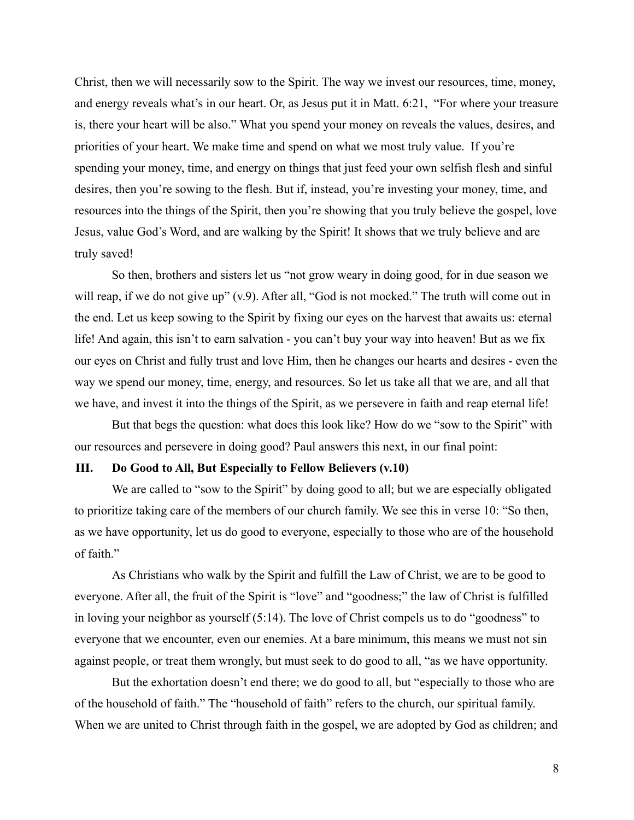Christ, then we will necessarily sow to the Spirit. The way we invest our resources, time, money, and energy reveals what's in our heart. Or, as Jesus put it in Matt. 6:21, "For where your treasure is, there your heart will be also." What you spend your money on reveals the values, desires, and priorities of your heart. We make time and spend on what we most truly value. If you're spending your money, time, and energy on things that just feed your own selfish flesh and sinful desires, then you're sowing to the flesh. But if, instead, you're investing your money, time, and resources into the things of the Spirit, then you're showing that you truly believe the gospel, love Jesus, value God's Word, and are walking by the Spirit! It shows that we truly believe and are truly saved!

So then, brothers and sisters let us "not grow weary in doing good, for in due season we will reap, if we do not give up" (v.9). After all, "God is not mocked." The truth will come out in the end. Let us keep sowing to the Spirit by fixing our eyes on the harvest that awaits us: eternal life! And again, this isn't to earn salvation - you can't buy your way into heaven! But as we fix our eyes on Christ and fully trust and love Him, then he changes our hearts and desires - even the way we spend our money, time, energy, and resources. So let us take all that we are, and all that we have, and invest it into the things of the Spirit, as we persevere in faith and reap eternal life!

But that begs the question: what does this look like? How do we "sow to the Spirit" with our resources and persevere in doing good? Paul answers this next, in our final point:

## **III. Do Good to All, But Especially to Fellow Believers (v.10)**

We are called to "sow to the Spirit" by doing good to all; but we are especially obligated to prioritize taking care of the members of our church family. We see this in verse 10: "So then, as we have opportunity, let us do good to everyone, especially to those who are of the household of faith."

As Christians who walk by the Spirit and fulfill the Law of Christ, we are to be good to everyone. After all, the fruit of the Spirit is "love" and "goodness;" the law of Christ is fulfilled in loving your neighbor as yourself (5:14). The love of Christ compels us to do "goodness" to everyone that we encounter, even our enemies. At a bare minimum, this means we must not sin against people, or treat them wrongly, but must seek to do good to all, "as we have opportunity.

But the exhortation doesn't end there; we do good to all, but "especially to those who are of the household of faith." The "household of faith" refers to the church, our spiritual family. When we are united to Christ through faith in the gospel, we are adopted by God as children; and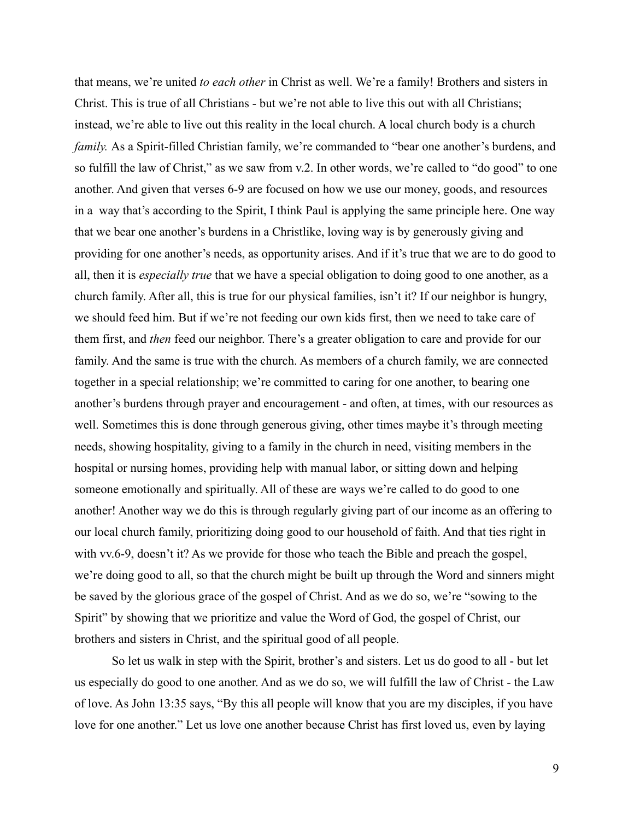that means, we're united *to each other* in Christ as well. We're a family! Brothers and sisters in Christ. This is true of all Christians - but we're not able to live this out with all Christians; instead, we're able to live out this reality in the local church. A local church body is a church *family.* As a Spirit-filled Christian family, we're commanded to "bear one another's burdens, and so fulfill the law of Christ," as we saw from v.2. In other words, we're called to "do good" to one another. And given that verses 6-9 are focused on how we use our money, goods, and resources in a way that's according to the Spirit, I think Paul is applying the same principle here. One way that we bear one another's burdens in a Christlike, loving way is by generously giving and providing for one another's needs, as opportunity arises. And if it's true that we are to do good to all, then it is *especially true* that we have a special obligation to doing good to one another, as a church family. After all, this is true for our physical families, isn't it? If our neighbor is hungry, we should feed him. But if we're not feeding our own kids first, then we need to take care of them first, and *then* feed our neighbor. There's a greater obligation to care and provide for our family. And the same is true with the church. As members of a church family, we are connected together in a special relationship; we're committed to caring for one another, to bearing one another's burdens through prayer and encouragement - and often, at times, with our resources as well. Sometimes this is done through generous giving, other times maybe it's through meeting needs, showing hospitality, giving to a family in the church in need, visiting members in the hospital or nursing homes, providing help with manual labor, or sitting down and helping someone emotionally and spiritually. All of these are ways we're called to do good to one another! Another way we do this is through regularly giving part of our income as an offering to our local church family, prioritizing doing good to our household of faith. And that ties right in with vv.6-9, doesn't it? As we provide for those who teach the Bible and preach the gospel, we're doing good to all, so that the church might be built up through the Word and sinners might be saved by the glorious grace of the gospel of Christ. And as we do so, we're "sowing to the Spirit" by showing that we prioritize and value the Word of God, the gospel of Christ, our brothers and sisters in Christ, and the spiritual good of all people.

So let us walk in step with the Spirit, brother's and sisters. Let us do good to all - but let us especially do good to one another. And as we do so, we will fulfill the law of Christ - the Law of love. As John 13:35 says, "By this all people will know that you are my disciples, if you have love for one another." Let us love one another because Christ has first loved us, even by laying